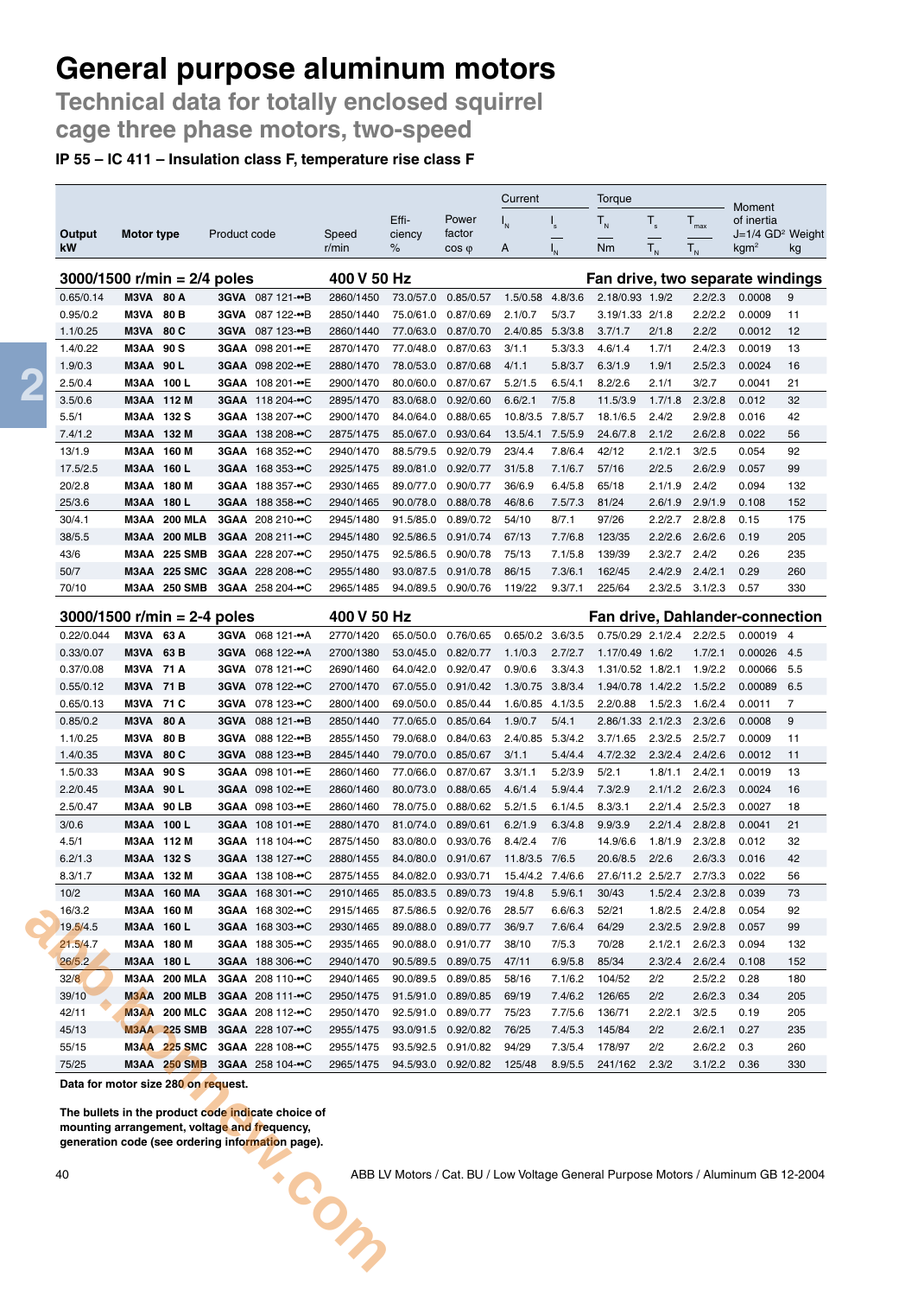**Technical data for totally enclosed squirrel cage three phase motors, two-speed**

#### **IP 55 – IC 411 – Insulation class F, temperature rise class F**

|                               |                          |                                            |              |                                      |                        |                                    |                                            | Current                      |                           | Torque                        |                |                      | Moment                                           |                |
|-------------------------------|--------------------------|--------------------------------------------|--------------|--------------------------------------|------------------------|------------------------------------|--------------------------------------------|------------------------------|---------------------------|-------------------------------|----------------|----------------------|--------------------------------------------------|----------------|
|                               |                          |                                            |              |                                      |                        | Effi-                              | Power                                      | $I_{N}$                      | $\mathsf{I}_{\mathsf{s}}$ | $T_{N}$                       | $T_{s}$        | $\mathsf{T}_{\max}$  | of inertia                                       |                |
| Output<br>kW                  | Motor type               |                                            | Product code |                                      | Speed<br>r/min         | ciency<br>%                        | factor<br>$cos \varphi$                    | A                            |                           | Nm                            | $T_{N}$        | ${\sf T}_{_{\sf N}}$ | J=1/4 GD <sup>2</sup> Weight<br>kgm <sup>2</sup> | kg             |
|                               |                          |                                            |              |                                      |                        |                                    |                                            |                              |                           |                               |                |                      |                                                  |                |
| $3000/1500$ r/min = 2/4 poles |                          |                                            |              |                                      | 400 V 50 Hz            |                                    |                                            |                              |                           |                               |                |                      | Fan drive, two separate windings                 |                |
| 0.65/0.14                     | <b>M3VA 80 A</b>         |                                            |              | 3GVA 087 121-••B                     | 2860/1450              | 73.0/57.0                          | 0.85/0.57                                  | 1.5/0.58 4.8/3.6             |                           | 2.18/0.93 1.9/2               |                | 2.2/2.3              | 0.0008                                           | 9              |
| 0.95/0.2<br>1.1/0.25          | M3VA<br>M3VA             | 80 B<br>80 C                               | 3GVA         | 3GVA 087 122-••B<br>087 123-••B      | 2850/1440<br>2860/1440 | 77.0/63.0                          | 75.0/61.0 0.87/0.69<br>0.87/0.70           | 2.1/0.7<br>2.4/0.85          | 5/3.7<br>5.3/3.8          | 3.19/1.33 2/1.8<br>3.7/1.7    | 2/1.8          | 2.2/2.2<br>2.2/2     | 0.0009<br>0.0012                                 | 11<br>12       |
| 1.4/0.22                      | <b>M3AA 90 S</b>         |                                            |              | 3GAA 098 201-••E                     | 2870/1470              | 77.0/48.0                          | 0.87/0.63                                  | 3/1.1                        | 5.3/3.3                   | 4.6/1.4                       | 1.7/1          | 2.4/2.3              | 0.0019                                           | 13             |
| 1.9/0.3                       | M3AA 90L                 |                                            |              | 3GAA 098 202-••E                     | 2880/1470              | 78.0/53.0                          | 0.87/0.68                                  | 4/1.1                        | 5.8/3.7                   | 6.3/1.9                       | 1.9/1          | 2.5/2.3              | 0.0024                                           | 16             |
| 2.5/0.4                       | M3AA 100 L               |                                            |              | 3GAA 108 201-••E                     | 2900/1470              |                                    | 80.0/60.0 0.87/0.67                        | 5.2/1.5                      | 6.5/4.1                   | 8.2/2.6                       | 2.1/1          | 3/2.7                | 0.0041                                           | 21             |
| 3.5/0.6                       | M3AA 112 M               |                                            |              | 3GAA 118 204-••C                     | 2895/1470              | 83.0/68.0                          | 0.92/0.60                                  | 6.6/2.1                      | 7/5.8                     | 11.5/3.9                      | 1.7/1.8        | 2.3/2.8              | 0.012                                            | 32             |
| 5.5/1                         | M3AA 132 S               |                                            |              | 3GAA 138 207-••C                     | 2900/1470              | 84.0/64.0                          | 0.88/0.65                                  | 10.8/3.5                     | 7.8/5.7                   | 18.1/6.5                      | 2.4/2          | 2.9/2.8              | 0.016                                            | 42             |
| 7.4/1.2                       | M3AA 132 M               |                                            |              | 3GAA 138 208-••C                     | 2875/1475              | 85.0/67.0                          | 0.93/0.64                                  | 13.5/4.1                     | 7.5/5.9                   | 24.6/7.8                      | 2.1/2          | 2.6/2.8              | 0.022                                            | 56             |
| 13/1.9                        | M3AA 160 M               |                                            |              | 3GAA 168 352-••C                     | 2940/1470              | 88.5/79.5                          | 0.92/0.79                                  | 23/4.4                       | 7.8/6.4                   | 42/12                         | 2.1/2.1        | 3/2.5                | 0.054                                            | 92             |
| 17.5/2.5                      | M3AA 160 L               |                                            |              | 3GAA 168 353-••C                     | 2925/1475              |                                    | 89.0/81.0 0.92/0.77                        | 31/5.8                       | 7.1/6.7                   | 57/16                         | 2/2.5          | 2.6/2.9              | 0.057                                            | 99             |
| 20/2.8                        | M3AA 180 M               |                                            |              | 3GAA 188 357-••C                     | 2930/1465              | 89.0/77.0                          | 0.90/0.77                                  | 36/6.9                       | 6.4/5.8                   | 65/18                         | 2.1/1.9        | 2.4/2                | 0.094                                            | 132            |
| 25/3.6                        | M3AA 180 L               |                                            |              | 3GAA 188 358-••C                     | 2940/1465              | 90.0/78.0                          | 0.88/0.78                                  | 46/8.6                       | 7.5/7.3                   | 81/24                         | 2.6/1.9        | 2.9/1.9              | 0.108                                            | 152            |
| 30/4.1                        | МЗАА                     | <b>200 MLA</b>                             |              | 3GAA 208 210-••C                     | 2945/1480              | 91.5/85.0                          | 0.89/0.72                                  | 54/10                        | 8/7.1                     | 97/26                         | 2.2/2.7        | 2.8/2.8              | 0.15                                             | 175            |
| 38/5.5                        |                          | <b>M3AA 200 MLB</b>                        |              | 3GAA 208 211-••C                     | 2945/1480              |                                    | 92.5/86.5 0.91/0.74                        | 67/13                        | 7.7/6.8                   | 123/35                        | 2.2/2.6        | 2.6/2.6              | 0.19                                             | 205            |
| 43/6                          |                          | M3AA 225 SMB                               |              | 3GAA 228 207-••C                     | 2950/1475              | 92.5/86.5                          | 0.90/0.78                                  | 75/13                        | 7.1/5.8                   | 139/39                        | 2.3/2.7        | 2.4/2                | 0.26                                             | 235            |
| 50/7                          | МЗАА                     | <b>225 SMC</b>                             |              | 3GAA 228 208-••C                     | 2955/1480              | 93.0/87.5                          | 0.91/0.78                                  | 86/15                        | 7.3/6.1                   | 162/45                        | 2.4/2.9        | 2.4/2.1              | 0.29                                             | 260            |
| 70/10                         | МЗАА                     | <b>250 SMB</b>                             |              | 3GAA 258 204-••C                     | 2965/1485              |                                    | 94.0/89.5 0.90/0.76                        | 119/22                       | 9.3/7.1                   | 225/64                        | 2.3/2.5        | 3.1/2.3              | 0.57                                             | 330            |
| $3000/1500$ r/min = 2-4 poles |                          |                                            |              |                                      | 400 V 50 Hz            |                                    |                                            |                              |                           |                               |                |                      | <b>Fan drive, Dahlander-connection</b>           |                |
| 0.22/0.044                    | M3VA 63 A                |                                            |              | 3GVA 068 121-                        | 2770/1420              | 65.0/50.0                          | 0.76/0.65                                  | $0.65/0.2$ 3.6/3.5           |                           | 0.75/0.29 2.1/2.4 2.2/2.5     |                |                      | 0.00019                                          | $\overline{4}$ |
| 0.33/0.07                     | M3VA                     | 63 B                                       |              | 3GVA 068 122-••A                     | 2700/1380              | 53.0/45.0                          | 0.82/0.77                                  | 1.1/0.3                      | 2.7/2.7                   | 1.17/0.49 1.6/2               |                | 1.7/2.1              | 0.00026                                          | 4.5            |
| 0.37/0.08                     | <b>M3VA 71 A</b>         |                                            | 3GVA         | 078 121-••C                          | 2690/1460              | 64.0/42.0                          | 0.92/0.47                                  | 0.9/0.6                      | 3.3/4.3                   | 1.31/0.52 1.8/2.1             |                | 1.9/2.2              | 0.00066                                          | 5.5            |
| 0.55/0.12<br>0.65/0.13        | <b>M3VA 71 B</b><br>M3VA | 71 C                                       | 3GVA         | 3GVA 078 122-••C<br>078 123-••C      | 2700/1470<br>2800/1400 | 67.0/55.0<br>69.0/50.0             | 0.91/0.42<br>0.85/0.44                     | 1.3/0.75 3.8/3.4<br>1.6/0.85 | 4.1/3.5                   | 1.94/0.78 1.4/2.2<br>2.2/0.88 | 1.5/2.3        | 1.5/2.2<br>1.6/2.4   | 0.00089<br>0.0011                                | 6.5<br>7       |
| 0.85/0.2                      | M3VA                     | 80 A                                       | 3GVA         | 088 121-••B                          | 2850/1440              | 77.0/65.0                          | 0.85/0.64                                  | 1.9/0.7                      | 5/4.1                     | 2.86/1.33 2.1/2.3             |                | 2.3/2.6              | 0.0008                                           | 9              |
| 1.1/0.25                      | M3VA                     | 80 B                                       | 3GVA         | 088 122-••B                          | 2855/1450              | 79.0/68.0                          | 0.84/0.63                                  | 2.4/0.85 5.3/4.2             |                           | 3.7/1.65                      | 2.3/2.5        | 2.5/2.7              | 0.0009                                           | 11             |
| 1.4/0.35                      | M3VA                     | 80 C                                       | <b>3GVA</b>  | 088 123-••B                          | 2845/1440              | 79.0/70.0                          | 0.85/0.67                                  | 3/1.1                        | 5.4/4.4                   | 4.7/2.32                      | 2.3/2.4        | 2.4/2.6              | 0.0012                                           | 11             |
| 1.5/0.33                      | <b>M3AA 90 S</b>         |                                            |              | 3GAA 098 101-••E                     | 2860/1460              |                                    | 77.0/66.0 0.87/0.67                        | 3.3/1.1                      | 5.2/3.9                   | 5/2.1                         | 1.8/1.1        | 2.4/2.1              | 0.0019                                           | 13             |
| 2.2/0.45                      | <b>M3AA 90 L</b>         |                                            |              | 3GAA 098 102-••E                     | 2860/1460              | 80.0/73.0                          | 0.88/0.65                                  | 4.6/1.4                      | 5.9/4.4                   | 7.3/2.9                       | 2.1/1.2        | 2.6/2.3              | 0.0024                                           | 16             |
| 2.5/0.47                      | МЗАА                     | 90 LB                                      |              | 3GAA 098 103-••E                     | 2860/1460              | 78.0/75.0                          | 0.88/0.62                                  | 5.2/1.5                      | 6.1/4.5                   | 8.3/3.1                       | 2.2/1.4        | 2.5/2.3              | 0.0027                                           | 18             |
| 3/0.6                         | M3AA 100 L               |                                            |              | 3GAA 108 101-••E                     | 2880/1470              | 81.0/74.0                          | 0.89/0.61                                  | 6.2/1.9                      | 6.3/4.8                   | 9.9/3.9                       | 2.2/1.4        | 2.8/2.8              | 0.0041                                           | 21             |
| 4.5/1                         | M3AA 112 M               |                                            |              | 3GAA 118 104-••C                     | 2875/1450              |                                    | 83.0/80.0 0.93/0.76                        | 8.4/2.4                      | 7/6                       | 14.9/6.6                      | 1.8/1.9        | 2.3/2.8              | 0.012                                            | 32             |
| 6.2/1.3                       | M3AA 132 S               |                                            |              | 3GAA 138 127-••C                     | 2880/1455              | 84.0/80.0 0.91/0.67 11.8/3.5 7/6.5 |                                            |                              |                           |                               | 2/2.6          |                      |                                                  |                |
|                               |                          |                                            |              |                                      |                        |                                    |                                            |                              |                           | 20.6/8.5                      |                | 2.6/3.3              | 0.016                                            | 42             |
| 8.3/1.7                       |                          | M3AA 132 M                                 |              | 3GAA 138 108-••C                     | 2875/1455              |                                    | 84.0/82.0 0.93/0.71                        | 15.4/4.2 7.4/6.6             |                           | 27.6/11.2 2.5/2.7             |                | 2.7/3.3              | 0.022                                            | 56             |
| 10/2                          |                          | <b>M3AA 160 MA</b>                         |              | 3GAA 168 301-••C                     | 2910/1465              |                                    | 85.0/83.5 0.89/0.73                        | 19/4.8                       | 5.9/6.1                   | 30/43                         | 1.5/2.4        | 2.3/2.8              | 0.039                                            | 73             |
| 16/3.2                        | M3AA 160 M               |                                            |              | 3GAA 168 302-••C                     | 2915/1465              |                                    | 87.5/86.5 0.92/0.76                        | 28.5/7                       | 6.6/6.3                   | 52/21                         |                | 1.8/2.5 2.4/2.8      | 0.054                                            | 92             |
| 19.5/4.5                      | M3AA 160 L               |                                            |              | 3GAA 168 303-••C                     | 2930/1465              |                                    | 89.0/88.0  0.89/0.77                       | 36/9.7                       | 7.6/6.4                   | 64/29                         |                | 2.3/2.5 2.9/2.8      | 0.057                                            | 99             |
| 21.5/4.7                      | M3AA 180 M               |                                            |              | 3GAA 188 305-••C                     | 2935/1465              |                                    | 90.0/88.0 0.91/0.77                        | 38/10                        | 7/5.3                     | 70/28                         | 2.1/2.1        | 2.6/2.3              | 0.094                                            | 132            |
| 26/5.2                        | M3AA 180 L               |                                            |              | 3GAA 188 306-••C                     | 2940/1470              |                                    | 90.5/89.5  0.89/0.75                       | 47/11                        | 6.9/5.8                   | 85/34                         | 2.3/2.4        | 2.6/2.4              | 0.108                                            | 152            |
| 32/8                          |                          | <b>M3AA 200 MLA</b>                        |              | 3GAA 208 110-••C                     | 2940/1465              |                                    | 90.0/89.5  0.89/0.85                       | 58/16                        | 7.1/6.2                   | 104/52                        | 2/2            | 2.5/2.2              | 0.28                                             | 180            |
| 39/10                         |                          | <b>M3AA 200 MLB</b>                        |              | 3GAA 208 111-••C                     | 2950/1475              |                                    | 91.5/91.0 0.89/0.85                        | 69/19                        | 7.4/6.2                   | 126/65                        | 2/2            | 2.6/2.3              | 0.34                                             | 205            |
| 42/11<br>45/13                |                          | <b>M3AA 200 MLC</b><br><b>M3AA 225 SMB</b> |              | 3GAA 208 112-••C<br>3GAA 228 107-••C | 2950/1470<br>2955/1475 |                                    | 92.5/91.0  0.89/0.77                       | 75/23<br>76/25               | 7.7/5.6                   | 136/71<br>145/84              | 2.2/2.1<br>2/2 | 3/2.5<br>2.6/2.1     | 0.19<br>0.27                                     | 205            |
| 55/15                         |                          | M3AA 225 SMC                               |              | 3GAA 228 108-••C                     | 2955/1475              |                                    | 93.0/91.5 0.92/0.82<br>93.5/92.5 0.91/0.82 | 94/29                        | 7.4/5.3<br>7.3/5.4        | 178/97                        | 2/2            | 2.6/2.2              | 0.3                                              | 235<br>260     |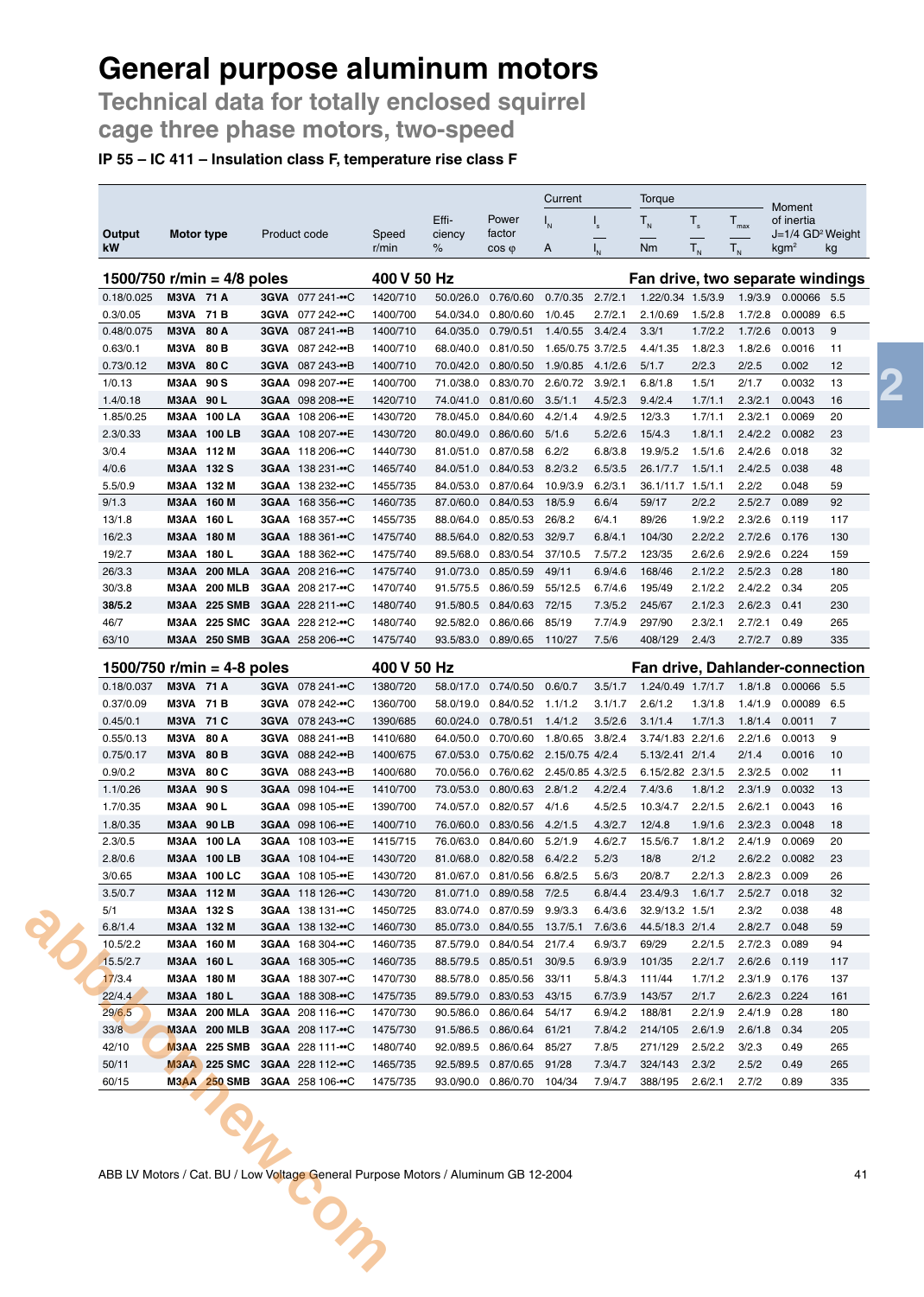**Technical data for totally enclosed squirrel cage three phase motors, two-speed**

### **IP 55 – IC 411 – Insulation class F, temperature rise class F**

|                              |                  |                     |             |                         |                |                |                          | Current           |                         | Torque                                 |             |                                          | Moment                                             |     |
|------------------------------|------------------|---------------------|-------------|-------------------------|----------------|----------------|--------------------------|-------------------|-------------------------|----------------------------------------|-------------|------------------------------------------|----------------------------------------------------|-----|
|                              |                  |                     |             |                         |                | Effi-          | Power                    | $I_{N}$           | $\mathsf{I}_\mathsf{s}$ | $T_{N}$                                | $T_{\rm s}$ | $T_{\text{max}}$                         | of inertia                                         |     |
| Output<br>kW                 | Motor type       |                     |             | Product code            | Speed<br>r/min | ciency<br>$\%$ | factor<br>$\cos \varphi$ | A                 |                         | Nm                                     | $T_{N}$     | $\mathsf{T}_{\scriptscriptstyle{\sf N}}$ | $J=1/4$ GD <sup>2</sup> Weight<br>kgm <sup>2</sup> | kg  |
|                              |                  |                     |             |                         |                |                |                          |                   |                         |                                        |             |                                          |                                                    |     |
| 1500/750 r/min = $4/8$ poles |                  |                     |             |                         | 400 V 50 Hz    |                |                          |                   |                         | Fan drive, two separate windings       |             |                                          |                                                    |     |
| 0.18/0.025                   | <b>M3VA 71 A</b> |                     |             | 3GVA 077 241-••C        | 1420/710       | 50.0/26.0      | 0.76/0.60                | 0.7/0.35          | 2.7/2.1                 | 1.22/0.34 1.5/3.9                      |             | 1.9/3.9                                  | 0.00066                                            | 5.5 |
| 0.3/0.05                     | M3VA             | 71 B                | 3GVA        | 077 242-••C             | 1400/700       | 54.0/34.0      | 0.80/0.60                | 1/0.45            | 2.7/2.1                 | 2.1/0.69                               | 1.5/2.8     | 1.7/2.8                                  | 0.00089                                            | 6.5 |
| 0.48/0.075                   | M3VA             | 80 A                | <b>3GVA</b> | 087 241-••B             | 1400/710       | 64.0/35.0      | 0.79/0.51                | 1.4/0.55          | 3.4/2.4                 | 3.3/1                                  | 1.7/2.2     | 1.7/2.6                                  | 0.0013                                             | 9   |
| 0.63/0.1                     | M3VA             | 80 <sub>B</sub>     | 3GVA        | 087 242-••B             | 1400/710       | 68.0/40.0      | 0.81/0.50                | 1.65/0.75 3.7/2.5 |                         | 4.4/1.35                               | 1.8/2.3     | 1.8/2.6                                  | 0.0016                                             | 11  |
| 0.73/0.12                    | M3VA             | 80 C                | 3GVA        | 087 243-••B             | 1400/710       | 70.0/42.0      | 0.80/0.50                | 1.9/0.85          | 4.1/2.6                 | 5/1.7                                  | 2/2.3       | 2/2.5                                    | 0.002                                              | 12  |
| 1/0.13                       | M3AA             | 90S                 |             | 3GAA 098 207-••E        | 1400/700       | 71.0/38.0      | 0.83/0.70                | 2.6/0.72          | 3.9/2.1                 | 6.8/1.8                                | 1.5/1       | 2/1.7                                    | 0.0032                                             | 13  |
| 1.4/0.18                     | M3AA             | 90 L                |             | 3GAA 098 208-••E        | 1420/710       | 74.0/41.0      | 0.81/0.60                | 3.5/1.1           | 4.5/2.3                 | 9.4/2.4                                | 1.7/1.1     | 2.3/2.1                                  | 0.0043                                             | 16  |
| 1.85/0.25                    | M3AA             | 100 LA              |             | 3GAA 108 206-••E        | 1430/720       | 78.0/45.0      | 0.84/0.60                | 4.2/1.4           | 4.9/2.5                 | 12/3.3                                 | 1.7/1.1     | 2.3/2.1                                  | 0.0069                                             | 20  |
| 2.3/0.33                     |                  | <b>M3AA 100 LB</b>  |             | 3GAA 108 207-••E        | 1430/720       | 80.0/49.0      | 0.86/0.60                | 5/1.6             | 5.2/2.6                 | 15/4.3                                 | 1.8/1.1     | 2.4/2.2                                  | 0.0082                                             | 23  |
| 3/0.4                        | M3AA 112 M       |                     |             | <b>3GAA</b> 118 206-⊷C  | 1440/730       | 81.0/51.0      | 0.87/0.58                | 6.2/2             | 6.8/3.8                 | 19.9/5.2                               | 1.5/1.6     | 2.4/2.6                                  | 0.018                                              | 32  |
| 4/0.6                        | M3AA 132 S       |                     |             | 3GAA 138 231-••C        | 1465/740       | 84.0/51.0      | 0.84/0.53                | 8.2/3.2           | 6.5/3.5                 | 26.1/7.7                               | 1.5/1.1     | 2.4/2.5                                  | 0.038                                              | 48  |
| 5.5/0.9                      | МЗАА             | 132 M               |             | 3GAA 138 232-••C        | 1455/735       | 84.0/53.0      | 0.87/0.64                | 10.9/3.9          | 6.2/3.1                 | 36.1/11.7 1.5/1.1                      |             | 2.2/2                                    | 0.048                                              | 59  |
| 9/1.3                        | МЗАА             | 160 M               |             | 3GAA 168 356-••C        | 1460/735       | 87.0/60.0      | 0.84/0.53                | 18/5.9            | 6.6/4                   | 59/17                                  | 2/2.2       | 2.5/2.7                                  | 0.089                                              | 92  |
| 13/1.8                       | M3AA             | 160 L               |             | 3GAA 168 357-••C        | 1455/735       | 88.0/64.0      | 0.85/0.53                | 26/8.2            | 6/4.1                   | 89/26                                  | 1.9/2.2     | 2.3/2.6                                  | 0.119                                              | 117 |
| 16/2.3                       |                  | M3AA 180 M          |             | 3GAA 188 361-••C        | 1475/740       | 88.5/64.0      | 0.82/0.53                | 32/9.7            | 6.8/4.1                 | 104/30                                 | 2.2/2.2     | 2.7/2.6                                  | 0.176                                              | 130 |
| 19/2.7                       | M3AA             | 180 L               |             | <b>3GAA</b> 188 362-⊷C  | 1475/740       | 89.5/68.0      | 0.83/0.54                | 37/10.5           | 7.5/7.2                 | 123/35                                 | 2.6/2.6     | 2.9/2.6                                  | 0.224                                              | 159 |
| 26/3.3                       | M3AA             | <b>200 MLA</b>      |             | 3GAA 208 216- $\cdot$ C | 1475/740       | 91.0/73.0      | 0.85/0.59                | 49/11             | 6.9/4.6                 | 168/46                                 | 2.1/2.2     | 2.5/2.3                                  | 0.28                                               | 180 |
| 30/3.8                       | МЗАА             | <b>200 MLB</b>      |             | 3GAA 208 217- $\cdot$ C | 1470/740       | 91.5/75.5      | 0.86/0.59                | 55/12.5           | 6.7/4.6                 | 195/49                                 | 2.1/2.2     | 2.4/2.2                                  | 0.34                                               | 205 |
| 38/5.2                       | МЗАА             | <b>225 SMB</b>      |             | 3GAA 228 211-••C        | 1480/740       | 91.5/80.5      | 0.84/0.63                | 72/15             | 7.3/5.2                 | 245/67                                 | 2.1/2.3     | 2.6/2.3                                  | 0.41                                               | 230 |
| 46/7                         | M3AA             | <b>225 SMC</b>      |             | 3GAA 228 212-••C        | 1480/740       | 92.5/82.0      | 0.86/0.66                | 85/19             | 7.7/4.9                 | 297/90                                 | 2.3/2.1     | 2.7/2.1                                  | 0.49                                               | 265 |
| 63/10                        |                  | <b>M3AA 250 SMB</b> |             | 3GAA 258 206-••C        | 1475/740       | 93.5/83.0      | 0.89/0.65                | 110/27            | 7.5/6                   | 408/129                                | 2.4/3       | 2.7/2.7                                  | 0.89                                               | 335 |
| 1500/750 r/min = 4-8 poles   |                  |                     |             |                         | 400 V 50 Hz    |                |                          |                   |                         | <b>Fan drive, Dahlander-connection</b> |             |                                          |                                                    |     |
| 0.18/0.037                   | <b>M3VA 71 A</b> |                     |             | 3GVA 078 241-••C        | 1380/720       | 58.0/17.0      | 0.74/0.50                | 0.6/0.7           | 3.5/1.7                 | 1.24/0.49 1.7/1.7                      |             | 1.8/1.8                                  | 0.00066                                            | 5.5 |
| 0.37/0.09                    | M3VA             | 71 B                | 3GVA        | 078 242-••C             | 1360/700       | 58.0/19.0      | 0.84/0.52                | 1.1/1.2           | 3.1/1.7                 | 2.6/1.2                                | 1.3/1.8     | 1.4/1.9                                  | 0.00089                                            | 6.5 |
| 0.45/0.1                     | M3VA 71 C        |                     |             | 3GVA 078 243-••C        | 1390/685       | 60.0/24.0      | 0.78/0.51                | 1.4/1.2           | 3.5/2.6                 | 3.1/1.4                                | 1.7/1.3     | 1.8/1.4                                  | 0.0011                                             | 7   |
|                              |                  |                     |             |                         |                |                |                          |                   |                         |                                        |             |                                          |                                                    |     |

| 0.37/0.09 | <b>M3VA 71 B</b> |                     | 3GVA 078 242-••C        | 1360/700                                                                           |                     | 58.0/19.0  0.84/0.52  1.1/1.2            |                  | 3.1/1.7 | 2.6/1.2           | 1.3/1.8 | 1.4/1.9 | 0.00089 6.5 |     |
|-----------|------------------|---------------------|-------------------------|------------------------------------------------------------------------------------|---------------------|------------------------------------------|------------------|---------|-------------------|---------|---------|-------------|-----|
| 0.45/0.1  | M3VA 71 C        |                     | 3GVA 078 243-••C        | 1390/685                                                                           | 60.0/24.0           | 0.78/0.51                                | 1.4/1.2          | 3.5/2.6 | 3.1/1.4           | 1.7/1.3 | 1.8/1.4 | 0.0011      | 7   |
| 0.55/0.13 | M3VA 80 A        |                     | 3GVA 088 241-••B        | 1410/680                                                                           | 64.0/50.0           | 0.70/0.60                                | 1.8/0.65 3.8/2.4 |         | 3.74/1.83 2.2/1.6 |         | 2.2/1.6 | 0.0013      | 9   |
| 0.75/0.17 | <b>M3VA 80 B</b> |                     | 3GVA 088 242-••B        | 1400/675                                                                           | 67.0/53.0           | 0.75/0.62 2.15/0.75 4/2.4                |                  |         | 5.13/2.41 2/1.4   |         | 2/1.4   | 0.0016      | 10  |
| 0.9/0.2   | M3VA 80 C        |                     | 3GVA 088 243-••B        | 1400/680                                                                           |                     | 70.0/56.0  0.76/0.62  2.45/0.85  4.3/2.5 |                  |         | 6.15/2.82 2.3/1.5 |         | 2.3/2.5 | 0.002       | 11  |
| 1.1/0.26  | <b>M3AA 90 S</b> |                     | 3GAA 098 104-••E        | 1410/700                                                                           |                     | 73.0/53.0  0.80/0.63  2.8/1.2            |                  | 4.2/2.4 | 7.4/3.6           | 1.8/1.2 | 2.3/1.9 | 0.0032      | 13  |
| 1.7/0.35  | M3AA 90 L        |                     | 3GAA 098 105-••E        | 1390/700                                                                           |                     | 74.0/57.0 0.82/0.57                      | 4/1.6            | 4.5/2.5 | 10.3/4.7          | 2.2/1.5 | 2.6/2.1 | 0.0043      | 16  |
| 1.8/0.35  | M3AA 90 LB       |                     | 3GAA 098 106-••E        | 1400/710                                                                           | 76.0/60.0           | 0.83/0.56                                | 4.2/1.5          | 4.3/2.7 | 12/4.8            | 1.9/1.6 | 2.3/2.3 | 0.0048      | 18  |
| 2.3/0.5   |                  | M3AA 100 LA         | 3GAA 108 103-••E        | 1415/715                                                                           |                     | 76.0/63.0  0.84/0.60                     | 5.2/1.9          | 4.6/2.7 | 15.5/6.7          | 1.8/1.2 | 2.4/1.9 | 0.0069      | 20  |
| 2.8/0.6   |                  | M3AA 100 LB         | 3GAA 108 104-••E        | 1430/720                                                                           |                     | 81.0/68.0 0.82/0.58                      | 6.4/2.2          | 5.2/3   | 18/8              | 2/1.2   | 2.6/2.2 | 0.0082      | 23  |
| 3/0.65    |                  | M3AA 100 LC         | 3GAA 108 105-••E        | 1430/720                                                                           |                     | 81.0/67.0 0.81/0.56                      | 6.8/2.5          | 5.6/3   | 20/8.7            | 2.2/1.3 | 2.8/2.3 | 0.009       | 26  |
| 3.5/0.7   |                  | M3AA 112 M          | 3GAA 118 126-••C        | 1430/720                                                                           |                     | 81.0/71.0 0.89/0.58                      | 7/2.5            | 6.8/4.4 | 23.4/9.3          | 1.6/1.7 | 2.5/2.7 | 0.018       | 32  |
| 5/1       | M3AA 132 S       |                     | 3GAA 138 131-••C        | 1450/725                                                                           | 83.0/74.0 0.87/0.59 |                                          | 9.9/3.3          | 6.4/3.6 | 32.9/13.2 1.5/1   |         | 2.3/2   | 0.038       | 48  |
| 6.8/1.4   | M3AA 132 M       |                     | 3GAA 138 132-••C        | 1460/730                                                                           | 85.0/73.0           | 0.84/0.55                                | 13.7/5.1         | 7.6/3.6 | 44.5/18.3 2/1.4   |         | 2.8/2.7 | 0.048       | 59  |
| 10.5/2.2  |                  | M3AA 160 M          | 3GAA 168 304-••C        | 1460/735                                                                           |                     | 87.5/79.0  0.84/0.54                     | 21/7.4           | 6.9/3.7 | 69/29             | 2.2/1.5 | 2.7/2.3 | 0.089       | 94  |
| 15.5/2.7  | M3AA 160 L       |                     | 3GAA 168 305-••C        | 1460/735                                                                           |                     | 88.5/79.5 0.85/0.51                      | 30/9.5           | 6.9/3.9 | 101/35            | 2.2/1.7 | 2.6/2.6 | 0.119       | 117 |
| 17/3.4    |                  | M3AA 180 M          | 3GAA 188 307-••C        | 1470/730                                                                           | 88.5/78.0           | 0.85/0.56                                | 33/11            | 5.8/4.3 | 111/44            | 1.7/1.2 | 2.3/1.9 | 0.176       | 137 |
| 22/4.4    | M3AA 180 L       |                     | 3GAA 188 308-••C        | 1475/735                                                                           | 89.5/79.0 0.83/0.53 |                                          | 43/15            | 6.7/3.9 | 143/57            | 2/1.7   | 2.6/2.3 | 0.224       | 161 |
| 29/6.5    |                  | <b>M3AA 200 MLA</b> | 3GAA 208 116-••C        | 1470/730                                                                           |                     | 90.5/86.0  0.86/0.64                     | 54/17            | 6.9/4.2 | 188/81            | 2.2/1.9 | 2.4/1.9 | 0.28        | 180 |
| 33/8      |                  | M3AA 200 MLB        | 3GAA 208 117-••C        | 1475/730                                                                           |                     | 91.5/86.5  0.86/0.64  61/21              |                  | 7.8/4.2 | 214/105           | 2.6/1.9 | 2.6/1.8 | 0.34        | 205 |
| 42/10     |                  | <b>M3AA 225 SMB</b> | 3GAA 228 111-C          | 1480/740                                                                           | 92.0/89.5           | 0.86/0.64                                | 85/27            | 7.8/5   | 271/129           | 2.5/2.2 | 3/2.3   | 0.49        | 265 |
| 50/11     |                  | <b>M3AA 225 SMC</b> | 3GAA 228 112-C          | 1465/735                                                                           |                     | 92.5/89.5  0.87/0.65  91/28              |                  | 7.3/4.7 | 324/143           | 2.3/2   | 2.5/2   | 0.49        | 265 |
| 60/15     |                  | <b>M3AA 250 SMB</b> | 3GAA 258 106- $\cdot$ C | 1475/735                                                                           |                     | 93.0/90.0  0.86/0.70                     | 104/34           | 7.9/4.7 | 388/195           | 2.6/2.1 | 2.7/2   | 0.89        | 335 |
|           |                  |                     |                         | ABB LV Motors / Cat. BU / Low Voltage General Purpose Motors / Aluminum GB 12-2004 |                     |                                          |                  |         |                   |         |         |             | 41  |

**2**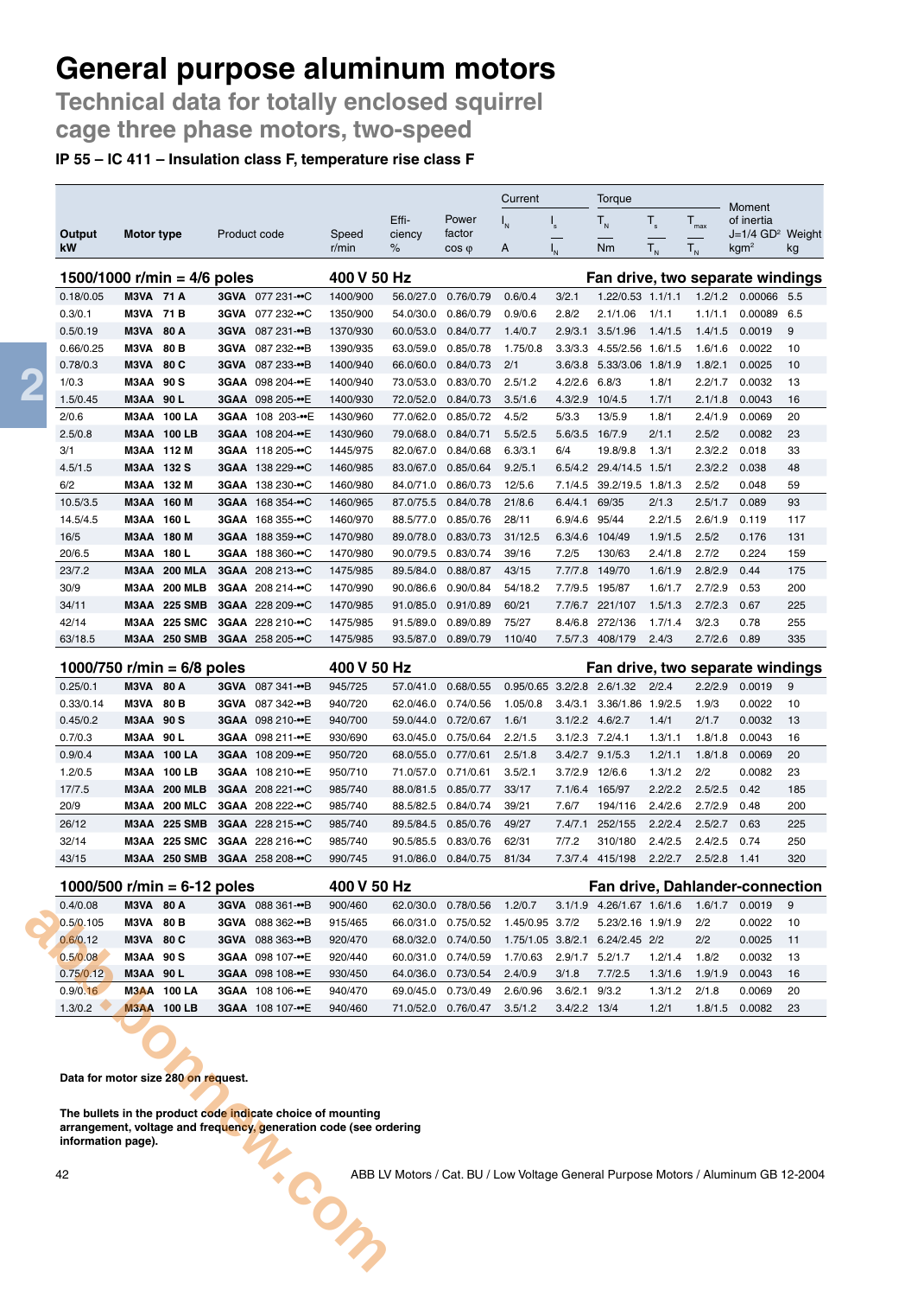**Technical data for totally enclosed squirrel cage three phase motors, two-speed**

#### **IP 55 – IC 411 – Insulation class F, temperature rise class F**

|                               |                   |                    |                            | Current<br>Torque |                |                |                          |          | Moment                    |                   |             |                  |                                                    |     |
|-------------------------------|-------------------|--------------------|----------------------------|-------------------|----------------|----------------|--------------------------|----------|---------------------------|-------------------|-------------|------------------|----------------------------------------------------|-----|
|                               |                   |                    |                            |                   |                | Effi-          | Power                    | ı"       | $\mathsf{I}_\mathsf{s}$   | $T_{N}$           | $T_{\rm s}$ | $T_{\text{max}}$ | of inertia                                         |     |
| Output<br>kW                  | <b>Motor type</b> |                    |                            | Product code      | Speed<br>r/min | ciency<br>$\%$ | factor<br>$\cos \varphi$ | A        | $\mathsf{I}_{\mathsf{N}}$ | Nm                | $T_{N}$     | $T_{N}$          | $J=1/4$ GD <sup>2</sup> Weight<br>kgm <sup>2</sup> | kg  |
| 1500/1000 r/min = $4/6$ poles |                   |                    |                            |                   | 400 V 50 Hz    |                |                          |          |                           |                   |             |                  | Fan drive, two separate windings                   |     |
| 0.18/0.05                     | <b>M3VA 71 A</b>  |                    |                            | 3GVA 077 231-••C  | 1400/900       | 56.0/27.0      | 0.76/0.79                | 0.6/0.4  | 3/2.1                     | 1.22/0.53 1.1/1.1 |             | 1.2/1.2          | 0.00066 5.5                                        |     |
| 0.3/0.1                       | M3VA              | 71 B               | <b>3GVA</b>                | 077 232-••C       | 1350/900       | 54.0/30.0      | 0.86/0.79                | 0.9/0.6  | 2.8/2                     | 2.1/1.06          | 1/1.1       | 1.1/1.1          | 0.00089                                            | 6.5 |
| 0.5/0.19                      | M3VA              | 80 A               | 3GVA                       | 087 231-••B       | 1370/930       | 60.0/53.0      | 0.84/0.77                | 1.4/0.7  | 2.9/3.1                   | 3.5/1.96          | 1.4/1.5     | 1.4/1.5          | 0.0019                                             | 9   |
| 0.66/0.25                     | M3VA              | 80 B               | <b>3GVA</b>                | 087 232-••B       | 1390/935       | 63.0/59.0      | 0.85/0.78                | 1.75/0.8 | 3.3/3.3                   | 4.55/2.56 1.6/1.5 |             | 1.6/1.6          | 0.0022                                             | 10  |
| 0.78/0.3                      | M3VA              | 80 C               |                            | 3GVA 087 233-••B  | 1400/940       | 66.0/60.0      | 0.84/0.73                | 2/1      | 3.6/3.8                   | 5.33/3.06 1.8/1.9 |             | 1.8/2.1          | 0.0025                                             | 10  |
| 1/0.3                         | M3AA              | 90 S               |                            | 3GAA 098 204-••E  | 1400/940       | 73.0/53.0      | 0.83/0.70                | 2.5/1.2  | 4.2/2.6                   | 6.8/3             | 1.8/1       | 2.2/1.7          | 0.0032                                             | 13  |
| 1.5/0.45                      | <b>M3AA 90 L</b>  |                    |                            | 3GAA 098 205-••E  | 1400/930       | 72.0/52.0      | 0.84/0.73                | 3.5/1.6  | 4.3/2.9                   | 10/4.5            | 1.7/1       | 2.1/1.8          | 0.0043                                             | 16  |
| 2/0.6                         | МЗАА              | 100 LA             |                            | 3GAA 108 203-••E  | 1430/960       | 77.0/62.0      | 0.85/0.72                | 4.5/2    | 5/3.3                     | 13/5.9            | 1.8/1       | 2.4/1.9          | 0.0069                                             | 20  |
| 2.5/0.8                       |                   | <b>M3AA 100 LB</b> |                            | 3GAA 108 204-••E  | 1430/960       | 79.0/68.0      | 0.84/0.71                | 5.5/2.5  | 5.6/3.5                   | 16/7.9            | 2/1.1       | 2.5/2            | 0.0082                                             | 23  |
| 3/1                           |                   | M3AA 112 M         |                            | 3GAA 118 205-••C  | 1445/975       | 82.0/67.0      | 0.84/0.68                | 6.3/3.1  | 6/4                       | 19.8/9.8          | 1.3/1       | 2.3/2.2          | 0.018                                              | 33  |
| 4.5/1.5                       | M3AA 132 S        |                    |                            | 3GAA 138 229-••C  | 1460/985       | 83.0/67.0      | 0.85/0.64                | 9.2/5.1  | 6.5/4.2                   | 29.4/14.5         | 1.5/1       | 2.3/2.2          | 0.038                                              | 48  |
| 6/2                           | M3AA              | 132 M              |                            | 3GAA 138 230-••C  | 1460/980       | 84.0/71.0      | 0.86/0.73                | 12/5.6   | 7.1/4.5                   | 39.2/19.5         | 1.8/1.3     | 2.5/2            | 0.048                                              | 59  |
| 10.5/3.5                      |                   | M3AA 160 M         |                            | 3GAA 168 354-••C  | 1460/965       | 87.0/75.5      | 0.84/0.78                | 21/8.6   | 6.4/4.1                   | 69/35             | 2/1.3       | 2.5/1.7          | 0.089                                              | 93  |
| 14.5/4.5                      | МЗАА              | 160 L              |                            | 3GAA 168 355-••C  | 1460/970       | 88.5/77.0      | 0.85/0.76                | 28/11    | 6.9/4.6                   | 95/44             | 2.2/1.5     | 2.6/1.9          | 0.119                                              | 117 |
| 16/5                          |                   | M3AA 180 M         |                            | 3GAA 188 359-••C  | 1470/980       | 89.0/78.0      | 0.83/0.73                | 31/12.5  | 6.3/4.6                   | 104/49            | 1.9/1.5     | 2.5/2            | 0.176                                              | 131 |
| 20/6.5                        | M3AA              | 180L               |                            | 3GAA 188 360-••C  | 1470/980       | 90.0/79.5      | 0.83/0.74                | 39/16    | 7.2/5                     | 130/63            | 2.4/1.8     | 2.7/2            | 0.224                                              | 159 |
| 23/7.2                        | МЗАА              | <b>200 MLA</b>     |                            | 3GAA 208 213-••C  | 1475/985       | 89.5/84.0      | 0.88/0.87                | 43/15    | 7.7/7.8                   | 149/70            | 1.6/1.9     | 2.8/2.9          | 0.44                                               | 175 |
| 30/9                          | МЗАА              | <b>200 MLB</b>     |                            | 3GAA 208 214-••C  | 1470/990       | 90.0/86.6      | 0.90/0.84                | 54/18.2  | 7.7/9.5                   | 195/87            | 1.6/1.7     | 2.7/2.9          | 0.53                                               | 200 |
| 34/11                         |                   | M3AA 225 SMB       |                            | 3GAA 228 209-••C  | 1470/985       | 91.0/85.0      | 0.91/0.89                | 60/21    | 7.7/6.7                   | 221/107           | 1.5/1.3     | 2.7/2.3          | 0.67                                               | 225 |
| 42/14                         | МЗАА              | <b>225 SMC</b>     |                            | 3GAA 228 210-••C  | 1475/985       | 91.5/89.0      | 0.89/0.89                | 75/27    | 8.4/6.8                   | 272/136           | 1.7/1.4     | 3/2.3            | 0.78                                               | 255 |
| 63/18.5                       | МЗАА              | <b>250 SMB</b>     |                            | 3GAA 258 205-••C  | 1475/985       | 93.5/87.0      | 0.89/0.79                | 110/40   | 7.5/7.3                   | 408/179           | 2.4/3       | 2.7/2.6          | 0.89                                               | 335 |
| $1000$ <i>men</i> $1.1$       |                   |                    | $0/0$ $\sim$ $\sim$ $\sim$ |                   | $AOMU EOM11-$  |                |                          |          |                           | Fan dubia tura    |             |                  | مالمصابين مالم                                     |     |

| 0.0019<br>9                                    |
|------------------------------------------------|
| 10                                             |
| 13                                             |
| 16                                             |
| 20                                             |
| 23                                             |
| 185                                            |
| 200                                            |
| 225                                            |
| 250                                            |
| 320                                            |
| 0.0022<br>0.0032<br>0.0043<br>0.0069<br>0.0082 |

| 1000/500 r/min = 6-12 poles                                                                                                                                  |                    |                  | 400 V 50 Hz |           |                                                                                    |                 |                   | Fan drive, Dahlander-connection |         |         |        |    |
|--------------------------------------------------------------------------------------------------------------------------------------------------------------|--------------------|------------------|-------------|-----------|------------------------------------------------------------------------------------|-----------------|-------------------|---------------------------------|---------|---------|--------|----|
| 0.4/0.08                                                                                                                                                     | M3VA 80 A          | 3GVA 088 361-••B | 900/460     | 62.0/30.0 | 0.78/0.56                                                                          | 1.2/0.7         |                   | 3.1/1.9 4.26/1.67 1.6/1.6       |         | 1.6/1.7 | 0.0019 | 9  |
| 0.5/0.105<br>M3VA                                                                                                                                            | 80 B               | 3GVA 088 362-••B | 915/465     | 66.0/31.0 | 0.75/0.52                                                                          | 1.45/0.95 3.7/2 |                   | 5.23/2.16 1.9/1.9               |         | 2/2     | 0.0022 | 10 |
| 0.6/0.12                                                                                                                                                     | M3VA 80 C          | 3GVA 088 363-••B | 920/470     |           | 68.0/32.0 0.74/0.50                                                                |                 |                   | 1.75/1.05 3.8/2.1 6.24/2.45 2/2 |         | 2/2     | 0.0025 | 11 |
| 0.5/0.08                                                                                                                                                     | <b>M3AA 90 S</b>   | 3GAA 098 107-••E | 920/440     | 60.0/31.0 | 0.74/0.59                                                                          | 1.7/0.63        | 2.9/1.7           | 5.2/1.7                         | 1.2/1.4 | 1.8/2   | 0.0032 | 13 |
| 0.75/0.12                                                                                                                                                    | M3AA 90L           | 3GAA 098 108-••E | 930/450     |           | 64.0/36.0 0.73/0.54                                                                | 2.4/0.9         | 3/1.8             | 7.7/2.5                         | 1.3/1.6 | 1.9/1.9 | 0.0043 | 16 |
| 0.9/0.16                                                                                                                                                     | <b>M3AA 100 LA</b> | 3GAA 108 106-••E | 940/470     | 69.0/45.0 | 0.73/0.49                                                                          | 2.6/0.96        | $3.6/2.1$ $9/3.2$ |                                 | 1.3/1.2 | 2/1.8   | 0.0069 | 20 |
| 1.3/0.2<br><b>M3AA</b>                                                                                                                                       | 100 LB             | 3GAA 108 107-••E | 940/460     | 71.0/52.0 | 0.76/0.47                                                                          | 3.5/1.2         | 3.4/2.2           | 13/4                            | 1.2/1   | 1.8/1.5 | 0.0082 | 23 |
| The bullets in the product code indicate choice of mounting<br>arrangement, voltage and frequency, generation code (see ordering<br>information page).<br>42 |                    |                  |             |           | ABB LV Motors / Cat. BU / Low Voltage General Purpose Motors / Aluminum GB 12-2004 |                 |                   |                                 |         |         |        |    |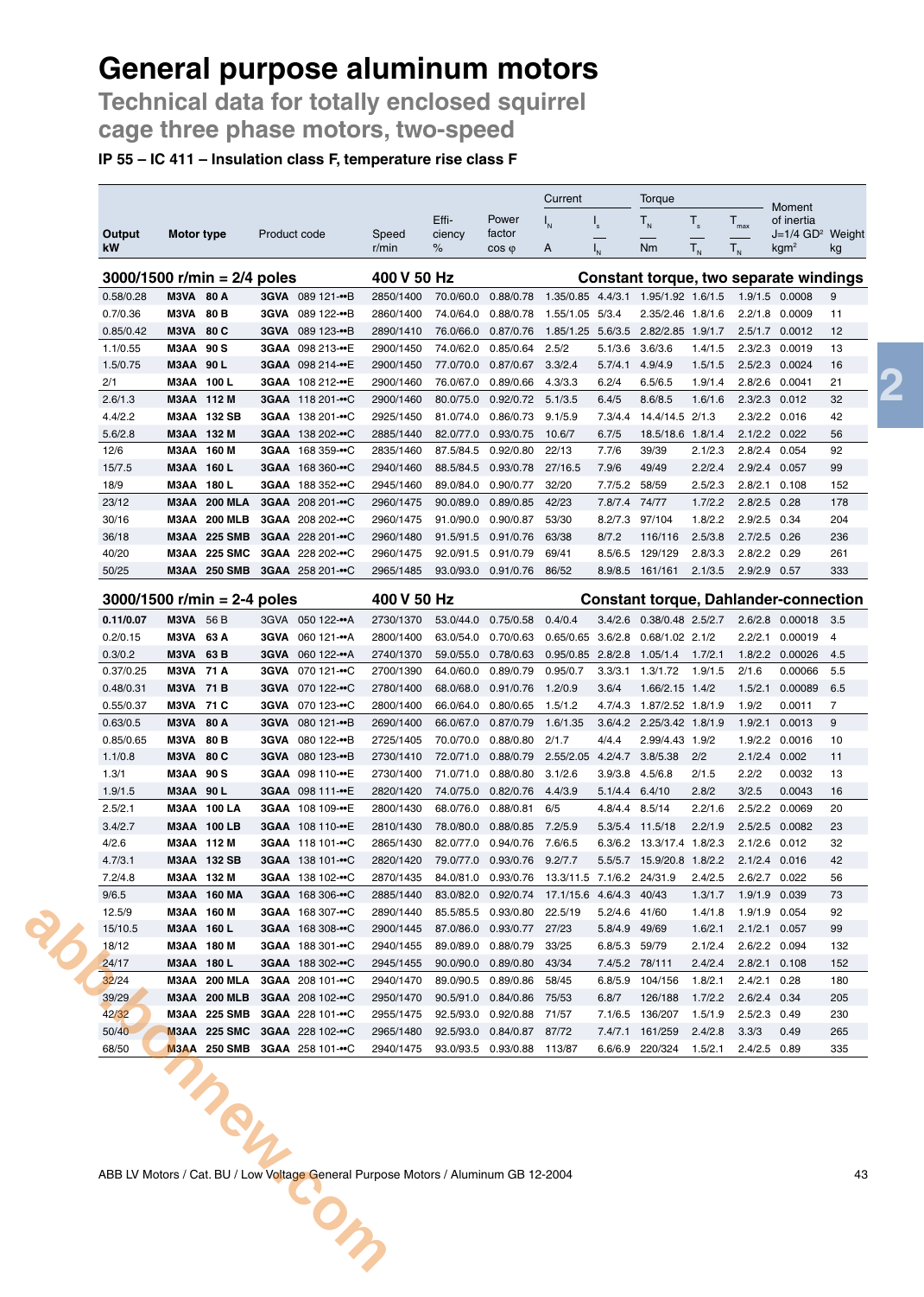**Technical data for totally enclosed squirrel cage three phase motors, two-speed**

### **IP 55 – IC 411 – Insulation class F, temperature rise class F**

|                               |                          |                                            |                                                                                    |                        |                        |                                                     | Current                      |                         | Torque                                       |                    |                                |                                                      |                     |
|-------------------------------|--------------------------|--------------------------------------------|------------------------------------------------------------------------------------|------------------------|------------------------|-----------------------------------------------------|------------------------------|-------------------------|----------------------------------------------|--------------------|--------------------------------|------------------------------------------------------|---------------------|
| Output                        | Motor type               |                                            | Product code                                                                       | Speed                  | Effi-<br>ciency        | Power<br>factor                                     | $I_{N}$                      | $\mathsf{I}_\mathsf{s}$ | $T_{N}$                                      | $T_{s}$            | $T_{\text{max}}$               | Moment<br>of inertia<br>J=1/4 GD <sup>2</sup> Weight |                     |
| kW                            |                          |                                            |                                                                                    | r/min                  | %                      | $\cos \varphi$                                      | A                            |                         | <b>Nm</b>                                    | $T_{N}$            | $T_{N}$                        | kgm <sup>2</sup>                                     | kg                  |
| $3000/1500$ r/min = 2/4 poles |                          |                                            |                                                                                    | 400 V 50 Hz            |                        |                                                     |                              |                         | Constant torque, two separate windings       |                    |                                |                                                      |                     |
| 0.58/0.28                     | <b>M3VA 80 A</b>         |                                            | 3GVA 089 121-••B                                                                   | 2850/1400              |                        | 70.0/60.0 0.88/0.78                                 |                              |                         | 1.35/0.85 4.4/3.1 1.95/1.92 1.6/1.5          |                    | 1.9/1.5 0.0008                 |                                                      | 9                   |
| 0.7/0.36                      | M3VA                     | 80 B                                       | 3GVA 089 122-••B                                                                   | 2860/1400              | 74.0/64.0              | 0.88/0.78                                           | 1.55/1.05 5/3.4              |                         | 2.35/2.46 1.8/1.6                            |                    |                                | 2.2/1.8 0.0009                                       | 11                  |
| 0.85/0.42                     | M3VA                     | 80 C                                       | 3GVA 089 123-••B                                                                   | 2890/1410              | 76.0/66.0              | 0.87/0.76                                           |                              |                         | 1.85/1.25 5.6/3.5 2.82/2.85 1.9/1.7          |                    |                                | 2.5/1.7 0.0012                                       | 12                  |
| 1.1/0.55                      | <b>M3AA 90 S</b>         |                                            | 3GAA 098 213-••E                                                                   | 2900/1450              | 74.0/62.0              | 0.85/0.64                                           | 2.5/2                        | 5.1/3.6                 | 3.6/3.6                                      | 1.4/1.5            | 2.3/2.3                        | 0.0019                                               | 13                  |
| 1.5/0.75                      | M3AA 90 L                |                                            | 3GAA 098 214-••E                                                                   | 2900/1450              |                        | 77.0/70.0  0.87/0.67                                | 3.3/2.4                      | 5.7/4.1                 | 4.9/4.9                                      | 1.5/1.5            |                                | 2.5/2.3 0.0024                                       | 16                  |
| 2/1                           | M3AA 100 L               |                                            | 3GAA 108 212-••E                                                                   | 2900/1460              | 76.0/67.0              | 0.89/0.66                                           | 4.3/3.3                      | 6.2/4                   | 6.5/6.5                                      | 1.9/1.4            |                                | 2.8/2.6 0.0041                                       | 21                  |
| 2.6/1.3                       | M3AA 112 M               |                                            | 3GAA 118 201-••C                                                                   | 2900/1460              | 80.0/75.0              | 0.92/0.72 5.1/3.5                                   |                              | 6.4/5                   | 8.6/8.5                                      | 1.6/1.6            | 2.3/2.3 0.012                  |                                                      | 32                  |
| 4.4/2.2                       |                          | M3AA 132 SB                                | 3GAA 138 201-••C                                                                   | 2925/1450              | 81.0/74.0              | 0.86/0.73                                           | 9.1/5.9                      | 7.3/4.4                 | 14.4/14.5 2/1.3                              |                    | 2.3/2.2 0.016                  |                                                      | 42                  |
| 5.6/2.8<br>12/6               | M3AA 132 M<br>M3AA 160 M |                                            | 3GAA 138 202-••C                                                                   | 2885/1440              | 82.0/77.0<br>87.5/84.5 | 0.93/0.75<br>0.92/0.80                              | 10.6/7<br>22/13              | 6.7/5<br>7.7/6          | 18.5/18.6 1.8/1.4<br>39/39                   |                    | $2.1/2.2$ 0.022                |                                                      | 56<br>92            |
| 15/7.5                        | <b>M3AA 160 L</b>        |                                            | 3GAA 168 359-••C<br>3GAA 168 360-••C                                               | 2835/1460<br>2940/1460 | 88.5/84.5              | 0.93/0.78                                           | 27/16.5                      | 7.9/6                   | 49/49                                        | 2.1/2.3<br>2.2/2.4 | 2.8/2.4 0.054<br>2.9/2.4       | 0.057                                                | 99                  |
| 18/9                          | M3AA 180 L               |                                            | 3GAA 188 352-••C                                                                   | 2945/1460              | 89.0/84.0              | 0.90/0.77                                           | 32/20                        | 7.7/5.2                 | 58/59                                        | 2.5/2.3            | 2.8/2.1                        | 0.108                                                | 152                 |
| 23/12                         |                          | <b>M3AA 200 MLA</b>                        | 3GAA 208 201-••C                                                                   | 2960/1475              | 90.0/89.0              | 0.89/0.85                                           | 42/23                        | 7.8/7.4 74/77           |                                              | 1.7/2.2            | 2.8/2.5                        | 0.28                                                 | 178                 |
| 30/16                         |                          | <b>M3AA 200 MLB</b>                        | 3GAA 208 202-••C                                                                   | 2960/1475              |                        | 91.0/90.0 0.90/0.87                                 | 53/30                        |                         | 8.2/7.3 97/104                               | 1.8/2.2            | 2.9/2.5 0.34                   |                                                      | 204                 |
| 36/18                         |                          | M3AA 225 SMB                               | 3GAA 228 201-••C                                                                   | 2960/1480              |                        | 91.5/91.5 0.91/0.76                                 | 63/38                        | 8/7.2                   | 116/116                                      | 2.5/3.8            | $2.7/2.5$ 0.26                 |                                                      | 236                 |
| 40/20                         |                          | M3AA 225 SMC                               | 3GAA 228 202-••C                                                                   | 2960/1475              |                        | 92.0/91.5 0.91/0.79                                 | 69/41                        | 8.5/6.5                 | 129/129                                      | 2.8/3.3            | 2.8/2.2 0.29                   |                                                      | 261                 |
| 50/25                         |                          | <b>M3AA 250 SMB</b>                        | 3GAA 258 201-••C                                                                   | 2965/1485              |                        | 93.0/93.0  0.91/0.76                                | 86/52                        |                         | 8.9/8.5 161/161                              | 2.1/3.5            | 2.9/2.9 0.57                   |                                                      | 333                 |
| $3000/1500$ r/min = 2-4 poles |                          |                                            |                                                                                    | 400 V 50 Hz            |                        |                                                     |                              |                         | <b>Constant torque, Dahlander-connection</b> |                    |                                |                                                      |                     |
| 0.11/0.07                     | <b>M3VA</b> 56 B         |                                            | 3GVA 050 122-•• A                                                                  | 2730/1370              |                        | 53.0/44.0  0.75/0.58                                | 0.4/0.4                      | 3.4/2.6                 | 0.38/0.48 2.5/2.7                            |                    |                                | 2.6/2.8 0.00018 3.5                                  |                     |
| 0.2/0.15                      | M3VA 63 A                |                                            | 3GVA 060 121-•• A                                                                  | 2800/1400              |                        | 63.0/54.0 0.70/0.63                                 | 0.65/0.65 3.6/2.8            |                         | $0.68/1.02$ 2.1/2                            |                    |                                | 2.2/2.1 0.00019                                      | $\overline{4}$      |
| 0.3/0.2                       | M3VA 63 B                |                                            | 3GVA 060 122-•• A                                                                  | 2740/1370              | 59.0/55.0              | 0.78/0.63                                           | 0.95/0.85 2.8/2.8            |                         | 1.05/1.4                                     | 1.7/2.1            | 1.8/2.2                        | 0.00026                                              | 4.5                 |
| 0.37/0.25                     | <b>M3VA 71 A</b>         |                                            | 3GVA 070 121-••C                                                                   | 2700/1390              | 64.0/60.0              | 0.89/0.79                                           | 0.95/0.7                     |                         | 3.3/3.1 1.3/1.72                             | 1.9/1.5            | 2/1.6                          | 0.00066                                              | 5.5                 |
| 0.48/0.31                     | M3VA 71 B                |                                            | 3GVA 070 122-••C                                                                   | 2780/1400              | 68.0/68.0              | 0.91/0.76                                           | 1.2/0.9                      | 3.6/4                   | 1.66/2.15 1.4/2                              |                    | 1.5/2.1                        | 0.00089                                              | 6.5                 |
| 0.55/0.37                     | M3VA 71 C                |                                            | 3GVA 070 123-••C                                                                   | 2800/1400              |                        | 66.0/64.0  0.80/0.65                                | 1.5/1.2                      |                         | 4.7/4.3 1.87/2.52 1.8/1.9                    |                    | 1.9/2                          | 0.0011                                               | $\overline{7}$<br>9 |
| 0.63/0.5<br>0.85/0.65         | M3VA<br>M3VA             | 80 A<br>80 <sub>B</sub>                    | <b>3GVA</b><br>080 121-••B<br>3GVA 080 122-••B                                     | 2690/1400<br>2725/1405 | 66.0/67.0<br>70.0/70.0 | 0.87/0.79<br>0.88/0.80                              | 1.6/1.35<br>2/1.7            | 4/4.4                   | 3.6/4.2 2.25/3.42 1.8/1.9<br>2.99/4.43 1.9/2 |                    | 1.9/2.1<br>1.9/2.2             | 0.0013<br>0.0016                                     | 10                  |
| 1.1/0.8                       | <b>M3VA 80 C</b>         |                                            | 3GVA 080 123-••B                                                                   | 2730/1410              | 72.0/71.0              | 0.88/0.79                                           | 2.55/2.05                    | 4.2/4.7                 | 3.8/5.38                                     | 2/2                | 2.1/2.4                        | 0.002                                                | 11                  |
| 1.3/1                         | M3AA 90 S                |                                            | 3GAA 098 110-••E                                                                   | 2730/1400              | 71.0/71.0              | 0.88/0.80                                           | 3.1/2.6                      | 3.9/3.8                 | 4.5/6.8                                      | 2/1.5              | 2.2/2                          | 0.0032                                               | 13                  |
| 1.9/1.5                       | <b>M3AA 90 L</b>         |                                            | 3GAA 098 111-••E                                                                   | 2820/1420              |                        | 74.0/75.0 0.82/0.76                                 | 4.4/3.9                      | 5.1/4.4 6.4/10          |                                              | 2.8/2              | 3/2.5                          | 0.0043                                               | 16                  |
| 2.5/2.1                       |                          | <b>M3AA 100 LA</b>                         | 3GAA 108 109-••E                                                                   | 2800/1430              | 68.0/76.0              | 0.88/0.81                                           | 6/5                          | 4.8/4.4                 | 8.5/14                                       | 2.2/1.6            | 2.5/2.2                        | 0.0069                                               | 20                  |
| 3.4/2.7                       |                          | M3AA 100 LB                                | 3GAA 108 110-••E                                                                   | 2810/1430              | 78.0/80.0              | 0.88/0.85                                           | 7.2/5.9                      | 5.3/5.4                 | 11.5/18                                      | 2.2/1.9            | 2.5/2.5                        | 0.0082                                               | 23                  |
| 4/2.6                         | M3AA 112 M               |                                            | 3GAA 118 101-••C                                                                   | 2865/1430              |                        | 82.0/77.0  0.94/0.76  7.6/6.5                       |                              |                         | 6.3/6.2 13.3/17.4 1.8/2.3                    |                    | $2.1/2.6$ 0.012                |                                                      | 32                  |
| 4.7/3.1                       |                          | M3AA 132 SB                                | 3GAA 138 101-••C                                                                   | 2820/1420              |                        | 79.0/77.0 0.93/0.76                                 | 9.2/7.7                      | 5.5/5.7                 | 15.9/20.8                                    | 1.8/2.2            | 2.1/2.4                        | 0.016                                                | 42                  |
| 7.2/4.8                       | M3AA 132 M               | M3AA 160 MA                                | 3GAA 138 102-••C<br>3GAA 168 306- $\cdot$ C                                        | 2870/1435              |                        | 84.0/81.0 0.93/0.76                                 | 13.3/11.5 7.1/6.2 24/31.9    |                         | 40/43                                        | 2.4/2.5            | 2.6/2.7 0.022<br>1.9/1.9 0.039 |                                                      | 56<br>73            |
| 9/6.5<br>12.5/9               | M3AA 160 M               |                                            | 3GAA 168 307-••C                                                                   | 2885/1440<br>2890/1440 |                        | 83.0/82.0 0.92/0.74<br>85.5/85.5 0.93/0.80          | 17.1/15.6 4.6/4.3<br>22.5/19 | 5.2/4.6                 | 41/60                                        | 1.3/1.7<br>1.4/1.8 | 1.9/1.9 0.054                  |                                                      | 92                  |
| 15/10.5                       | M3AA 160 L               |                                            | 3GAA 168 308-••C                                                                   | 2900/1445              |                        | 87.0/86.0  0.93/0.77  27/23                         |                              | 5.8/4.9                 | 49/69                                        | 1.6/2.1            | 2.1/2.1 0.057                  |                                                      | 99                  |
| 18/12                         | M3AA 180 M               |                                            | 3GAA 188 301-••C                                                                   | 2940/1455              |                        | 89.0/89.0 0.88/0.79                                 | 33/25                        | 6.8/5.3                 | 59/79                                        | 2.1/2.4            | 2.6/2.2 0.094                  |                                                      | 132                 |
| 24/17                         | M3AA 180 L               |                                            | 3GAA 188 302-••C                                                                   | 2945/1455              |                        | 90.0/90.0 0.89/0.80                                 | 43/34                        | 7.4/5.2 78/111          |                                              | 2.4/2.4            | 2.8/2.1 0.108                  |                                                      | 152                 |
| 32/24                         |                          | M3AA 200 MLA                               | 3GAA 208 101-••C                                                                   | 2940/1470              |                        | 89.0/90.5  0.89/0.86                                | 58/45                        |                         | 6.8/5.9 104/156                              | 1.8/2.1            | 2.4/2.1 0.28                   |                                                      | 180                 |
| 39/29                         |                          | <b>M3AA 200 MLB</b>                        | 3GAA 208 102-••C                                                                   | 2950/1470              |                        | 90.5/91.0  0.84/0.86                                | 75/53                        | 6.8/7                   | 126/188                                      | 1.7/2.2            | 2.6/2.4 0.34                   |                                                      | 205                 |
| 42/32                         |                          | M3AA 225 SMB                               | 3GAA 228 101-••C                                                                   | 2955/1475              |                        | 92.5/93.0 0.92/0.88                                 | 71/57                        |                         | 7.1/6.5 136/207                              | 1.5/1.9            | 2.5/2.3 0.49                   |                                                      | 230                 |
| 50/40<br>68/50                |                          | <b>M3AA 225 SMC</b><br><b>M3AA 250 SMB</b> | 3GAA 228 102-••C<br>3GAA 258 101-••C                                               | 2965/1480<br>2940/1475 |                        | 92.5/93.0  0.84/0.87  87/72<br>93.0/93.5  0.93/0.88 | 113/87                       |                         | 7.4/7.1 161/259<br>6.6/6.9 220/324           | 2.4/2.8<br>1.5/2.1 | 3.3/3<br>2.4/2.5 0.89          | 0.49                                                 | 265<br>335          |
|                               |                          |                                            |                                                                                    |                        |                        |                                                     |                              |                         |                                              |                    |                                |                                                      |                     |
|                               |                          |                                            |                                                                                    |                        |                        |                                                     |                              |                         |                                              |                    |                                |                                                      |                     |
|                               |                          |                                            | ABB LV Motors / Cat. BU / Low Voltage General Purpose Motors / Aluminum GB 12-2004 |                        |                        |                                                     |                              |                         |                                              |                    |                                |                                                      | 43                  |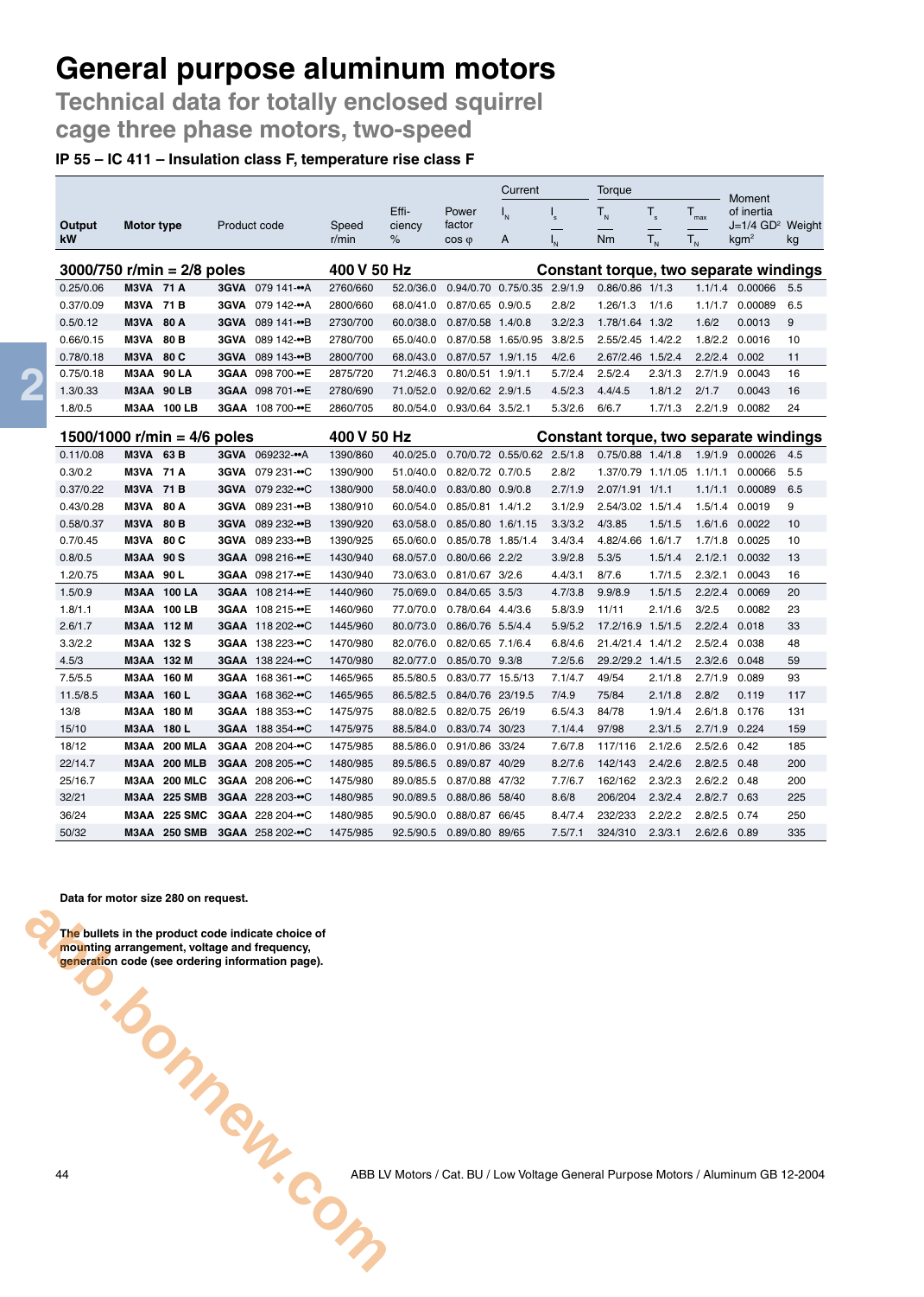**Technical data for totally enclosed squirrel cage three phase motors, two-speed**

#### **IP 55 – IC 411 – Insulation class F, temperature rise class F**

|                               |                   |                     |             |                         |             |           |                     | Current                     |                         | Torque                     |             |                  |                                        |     |
|-------------------------------|-------------------|---------------------|-------------|-------------------------|-------------|-----------|---------------------|-----------------------------|-------------------------|----------------------------|-------------|------------------|----------------------------------------|-----|
|                               |                   |                     |             |                         |             | Effi-     | Power               | $I_{N}$                     | $\mathsf{I}_\mathsf{s}$ | $T_{N}$                    | $T_{\rm s}$ | $T_{\text{max}}$ | Moment<br>of inertia                   |     |
| Output                        | Motor type        |                     |             | Product code            | Speed       | ciency    | factor              |                             |                         |                            |             |                  | J=1/4 GD <sup>2</sup> Weight           |     |
| kW                            |                   |                     |             |                         | r/min       | %         | $\cos \varphi$      | A                           |                         | Nm                         | $T_{N}$     | $T_{N}$          | kgm <sup>2</sup>                       | kg  |
| $3000/750$ r/min = 2/8 poles  |                   |                     |             |                         | 400 V 50 Hz |           |                     |                             |                         |                            |             |                  | Constant torque, two separate windings |     |
| 0.25/0.06                     | <b>M3VA 71 A</b>  |                     |             | 3GVA 079 141-•• A       | 2760/660    | 52.0/36.0 |                     | 0.94/0.70 0.75/0.35 2.9/1.9 |                         | $0.86/0.86$ 1/1.3          |             |                  | 1.1/1.4 0.00066                        | 5.5 |
| 0.37/0.09                     | <b>M3VA 71 B</b>  |                     | <b>3GVA</b> | 079 142-••A             | 2800/660    | 68.0/41.0 | 0.87/0.65 0.9/0.5   |                             | 2.8/2                   | 1.26/1.3                   | 1/1.6       |                  | 1.1/1.7 0.00089                        | 6.5 |
| 0.5/0.12                      | M3VA              | 80 A                | <b>3GVA</b> | 089 141-••B             | 2730/700    | 60.0/38.0 | 0.87/0.58 1.4/0.8   |                             | 3.2/2.3                 | 1.78/1.64 1.3/2            |             | 1.6/2            | 0.0013                                 | 9   |
| 0.66/0.15                     | M3VA              | 80 <sub>B</sub>     | <b>3GVA</b> | 089 142-••B             | 2780/700    | 65.0/40.0 |                     | 0.87/0.58 1.65/0.95         | 3.8/2.5                 | 2.55/2.45 1.4/2.2          |             | 1.8/2.2          | 0.0016                                 | 10  |
| 0.78/0.18                     | M3VA              | 80 C                | 3GVA        | 089 143-••B             | 2800/700    | 68.0/43.0 | 0.87/0.57 1.9/1.15  |                             | 4/2.6                   | 2.67/2.46 1.5/2.4          |             | 2.2/2.4          | 0.002                                  | 11  |
| 0.75/0.18                     | M3AA 90 LA        |                     |             | 3GAA 098 700-••E        | 2875/720    | 71.2/46.3 | $0.80/0.51$ 1.9/1.1 |                             | 5.7/2.4                 | 2.5/2.4                    | 2.3/1.3     | 2.7/1.9          | 0.0043                                 | 16  |
| 1.3/0.33                      |                   | M3AA 90 LB          |             | 3GAA 098 701-••E        | 2780/690    | 71.0/52.0 | 0.92/0.62 2.9/1.5   |                             | 4.5/2.3                 | 4.4/4.5                    | 1.8/1.2     | 2/1.7            | 0.0043                                 | 16  |
| 1.8/0.5                       |                   | <b>M3AA 100 LB</b>  |             | 3GAA 108 700-••E        | 2860/705    | 80.0/54.0 | 0.93/0.64 3.5/2.1   |                             | 5.3/2.6                 | 6/6.7                      | 1.7/1.3     | 2.2/1.9          | 0.0082                                 | 24  |
| 1500/1000 r/min = $4/6$ poles |                   |                     |             |                         | 400 V 50 Hz |           |                     |                             |                         |                            |             |                  | Constant torque, two separate windings |     |
| 0.11/0.08                     | M3VA              | 63 B                |             | 3GVA 069232-•• A        | 1390/860    | 40.0/25.0 |                     | 0.70/0.72 0.55/0.62 2.5/1.8 |                         | 0.75/0.88 1.4/1.8          |             |                  | 1.9/1.9 0.00026                        | 4.5 |
| 0.3/0.2                       | <b>M3VA 71 A</b>  |                     |             | 3GVA 079 231-••C        | 1390/900    | 51.0/40.0 | 0.82/0.72 0.7/0.5   |                             | 2.8/2                   | 1.37/0.79 1.1/1.05 1.1/1.1 |             |                  | 0.00066                                | 5.5 |
| 0.37/0.22                     | <b>M3VA 71 B</b>  |                     |             | 3GVA 079 232-••C        | 1380/900    | 58.0/40.0 | 0.83/0.80 0.9/0.8   |                             | 2.7/1.9                 | 2.07/1.91 1/1.1            |             | 1.1/1.1          | 0.00089                                | 6.5 |
| 0.43/0.28                     | M3VA              | 80 A                | 3GVA        | 089 231-••B             | 1380/910    | 60.0/54.0 | 0.85/0.81 1.4/1.2   |                             | 3.1/2.9                 | 2.54/3.02 1.5/1.4          |             | 1.5/1.4          | 0.0019                                 | 9   |
| 0.58/0.37                     | M3VA              | 80 <sub>B</sub>     |             | 3GVA 089 232-••B        | 1390/920    | 63.0/58.0 | 0.85/0.80 1.6/1.15  |                             | 3.3/3.2                 | 4/3.85                     | 1.5/1.5     |                  | 1.6/1.6 0.0022                         | 10  |
| 0.7/0.45                      | M3VA              | 80 C                |             | 3GVA 089 233-••B        | 1390/925    | 65.0/60.0 | 0.85/0.78 1.85/1.4  |                             | 3.4/3.4                 | 4.82/4.66 1.6/1.7          |             |                  | 1.7/1.8 0.0025                         | 10  |
| 0.8/0.5                       | <b>M3AA 90 S</b>  |                     |             | 3GAA 098 216-••E        | 1430/940    | 68.0/57.0 | 0.80/0.66 2.2/2     |                             | 3.9/2.8                 | 5.3/5                      | 1.5/1.4     | 2.1/2.1          | 0.0032                                 | 13  |
| 1.2/0.75                      | <b>M3AA 90 L</b>  |                     |             | 3GAA 098 217-••E        | 1430/940    | 73.0/63.0 | 0.81/0.67 3/2.6     |                             | 4.4/3.1                 | 8/7.6                      | 1.7/1.5     | 2.3/2.1          | 0.0043                                 | 16  |
| 1.5/0.9                       |                   | <b>M3AA 100 LA</b>  |             | 3GAA 108 214-••E        | 1440/960    | 75.0/69.0 | $0.84/0.65$ 3.5/3   |                             | 4.7/3.8                 | 9.9/8.9                    | 1.5/1.5     | 2.2/2.4          | 0.0069                                 | 20  |
| 1.8/1.1                       |                   | <b>M3AA 100 LB</b>  |             | 3GAA 108 215-••E        | 1460/960    | 77.0/70.0 | 0.78/0.64 4.4/3.6   |                             | 5.8/3.9                 | 11/11                      | 2.1/1.6     | 3/2.5            | 0.0082                                 | 23  |
| 2.6/1.7                       |                   | M3AA 112 M          |             | 3GAA 118 202-••C        | 1445/960    | 80.0/73.0 | 0.86/0.76 5.5/4.4   |                             | 5.9/5.2                 | 17.2/16.9 1.5/1.5          |             | 2.2/2.4          | 0.018                                  | 33  |
| 3.3/2.2                       | M3AA 132 S        |                     |             | 3GAA 138 223-••C        | 1470/980    | 82.0/76.0 | 0.82/0.65 7.1/6.4   |                             | 6.8/4.6                 | 21.4/21.4 1.4/1.2          |             | 2.5/2.4          | 0.038                                  | 48  |
| 4.5/3                         |                   | M3AA 132 M          |             | 3GAA 138 224-••C        | 1470/980    | 82.0/77.0 | 0.85/0.70 9.3/8     |                             | 7.2/5.6                 | 29.2/29.2 1.4/1.5          |             | 2.3/2.6          | 0.048                                  | 59  |
| 7.5/5.5                       |                   | M3AA 160 M          |             | 3GAA 168 361-••C        | 1465/965    | 85.5/80.5 | 0.83/0.77 15.5/13   |                             | 7.1/4.7                 | 49/54                      | 2.1/1.8     | 2.7/1.9          | 0.089                                  | 93  |
| 11.5/8.5                      | <b>M3AA 160 L</b> |                     |             | 3GAA 168 362-••C        | 1465/965    | 86.5/82.5 | 0.84/0.76 23/19.5   |                             | 7/4.9                   | 75/84                      | 2.1/1.8     | 2.8/2            | 0.119                                  | 117 |
| 13/8                          |                   | M3AA 180 M          |             | 3GAA 188 353-••C        | 1475/975    | 88.0/82.5 | 0.82/0.75 26/19     |                             | 6.5/4.3                 | 84/78                      | 1.9/1.4     | 2.6/1.8          | 0.176                                  | 131 |
| 15/10                         | <b>M3AA 180 L</b> |                     |             | 3GAA 188 354-••C        | 1475/975    | 88.5/84.0 | 0.83/0.74 30/23     |                             | 7.1/4.4                 | 97/98                      | 2.3/1.5     | 2.7/1.9          | 0.224                                  | 159 |
| 18/12                         | МЗАА              | <b>200 MLA</b>      |             | 3GAA 208 204-••C        | 1475/985    | 88.5/86.0 | 0.91/0.86 33/24     |                             | 7.6/7.8                 | 117/116                    | 2.1/2.6     | 2.5/2.6          | 0.42                                   | 185 |
| 22/14.7                       | МЗАА              | <b>200 MLB</b>      |             | 3GAA 208 205-••C        | 1480/985    | 89.5/86.5 | 0.89/0.87 40/29     |                             | 8.2/7.6                 | 142/143                    | 2.4/2.6     | 2.8/2.5          | 0.48                                   | 200 |
| 25/16.7                       | МЗАА              | <b>200 MLC</b>      |             | 3GAA 208 206- $\cdot$ C | 1475/980    | 89.0/85.5 | 0.87/0.88 47/32     |                             | 7.7/6.7                 | 162/162                    | 2.3/2.3     | 2.6/2.2          | 0.48                                   | 200 |
| 32/21                         |                   | M3AA 225 SMB        |             | 3GAA 228 203-••C        | 1480/985    | 90.0/89.5 | 0.88/0.86 58/40     |                             | 8.6/8                   | 206/204                    | 2.3/2.4     | 2.8/2.7 0.63     |                                        | 225 |
| 36/24                         | M3AA              | 225 SMC             |             | 3GAA 228 204-••C        | 1480/985    | 90.5/90.0 | 0.88/0.87 66/45     |                             | 8.4/7.4                 | 232/233                    | 2.2/2.2     | 2.8/2.5          | 0.74                                   | 250 |
| 50/32                         |                   | <b>M3AA 250 SMB</b> |             | 3GAA 258 202-••C        | 1475/985    | 92.5/90.5 | 0.89/0.80 89/65     |                             | 7.5/7.1                 | 324/310                    | 2.3/3.1     | $2.6/2.6$ 0.89   |                                        | 335 |

**Data for motor size 280 on request.**

**The bullets in the product code indicate choice of mounting arrangement, voltage and frequency, generation code (see ordering information page). Abbasic Comments**